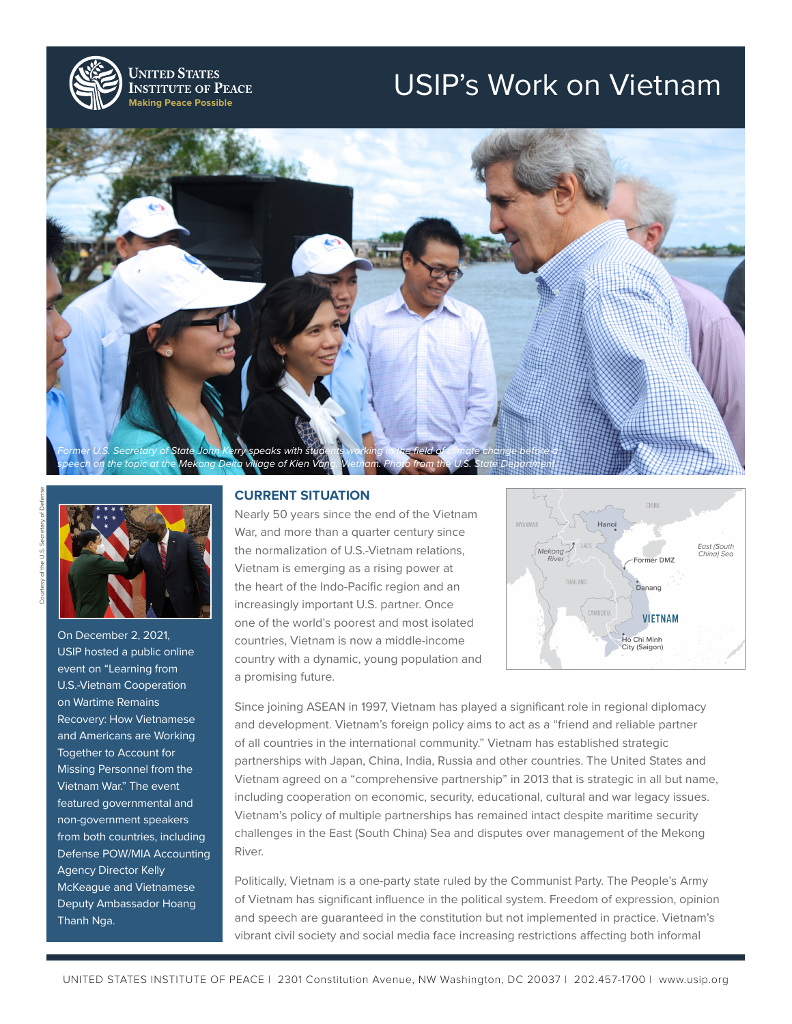

**UNITED STATES INSTITUTE OF PEACE Making Peace Possible**

## USIP's Work on Vietnam





On December 2, 2021, USIP hosted a public online event on "Learning from U.S.-Vietnam Cooperation on Wartime Remains Recovery: How Vietnamese and Americans are Working Together to Account for Missing Personnel from the Vietnam War." The event featured governmental and non-government speakers from both countries, including Defense POW/MIA Accounting Agency Director Kelly McKeague and Vietnamese Deputy Ambassador Hoang Thanh Nga.

## **CURRENT SITUATION**

Nearly 50 years since the end of the Vietnam War, and more than a quarter century since the normalization of U.S.-Vietnam relations, Vietnam is emerging as a rising power at the heart of the Indo-Pacific region and an increasingly important U.S. partner. Once one of the world's poorest and most isolated countries, Vietnam is now a middle-income country with a dynamic, young population and a promising future.



Since joining ASEAN in 1997, Vietnam has played a significant role in regional diplomacy and development. Vietnam's foreign policy aims to act as a "friend and reliable partner of all countries in the international community." Vietnam has established strategic partnerships with Japan, China, India, Russia and other countries. The United States and Vietnam agreed on a "comprehensive partnership" in 2013 that is strategic in all but name, including cooperation on economic, security, educational, cultural and war legacy issues. Vietnam's policy of multiple partnerships has remained intact despite maritime security challenges in the East (South China) Sea and disputes over management of the Mekong River.

Politically, Vietnam is a one-party state ruled by the Communist Party. The People's Army of Vietnam has significant influence in the political system. Freedom of expression, opinion and speech are guaranteed in the constitution but not implemented in practice. Vietnam's vibrant civil society and social media face increasing restrictions affecting both informal